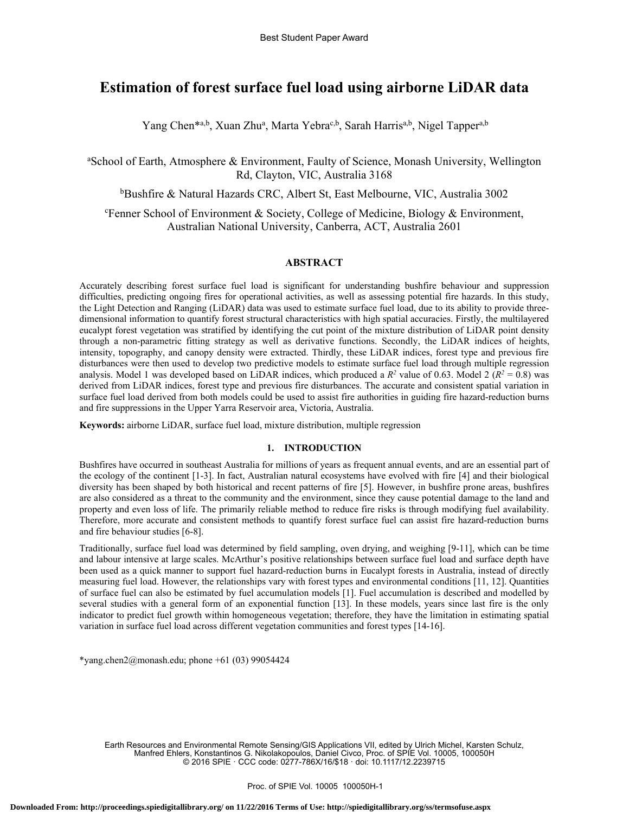# **Estimation of forest surface fuel load using airborne LiDAR data**

Yang Chen<sup>\*a,b</sup>, Xuan Zhu<sup>a</sup>, Marta Yebra<sup>c,b</sup>, Sarah Harris<sup>a,b</sup>, Nigel Tapper<sup>a,b</sup>

<sup>a</sup>School of Earth, Atmosphere & Environment, Faulty of Science, Monash University, Wellington Rd, Clayton, VIC, Australia 3168

<sup>b</sup>Bushfire & Natural Hazards CRC, Albert St, East Melbourne, VIC, Australia 3002

Fenner School of Environment & Society, College of Medicine, Biology & Environment, Australian National University, Canberra, ACT, Australia 2601

# **ABSTRACT**

Accurately describing forest surface fuel load is significant for understanding bushfire behaviour and suppression difficulties, predicting ongoing fires for operational activities, as well as assessing potential fire hazards. In this study, the Light Detection and Ranging (LiDAR) data was used to estimate surface fuel load, due to its ability to provide threedimensional information to quantify forest structural characteristics with high spatial accuracies. Firstly, the multilayered eucalypt forest vegetation was stratified by identifying the cut point of the mixture distribution of LiDAR point density through a non-parametric fitting strategy as well as derivative functions. Secondly, the LiDAR indices of heights, intensity, topography, and canopy density were extracted. Thirdly, these LiDAR indices, forest type and previous fire disturbances were then used to develop two predictive models to estimate surface fuel load through multiple regression analysis. Model 1 was developed based on LiDAR indices, which produced a  $R^2$  value of 0.63. Model 2 ( $R^2 = 0.8$ ) was derived from LiDAR indices, forest type and previous fire disturbances. The accurate and consistent spatial variation in surface fuel load derived from both models could be used to assist fire authorities in guiding fire hazard-reduction burns and fire suppressions in the Upper Yarra Reservoir area, Victoria, Australia.

**Keywords:** airborne LiDAR, surface fuel load, mixture distribution, multiple regression

## **1. INTRODUCTION**

Bushfires have occurred in southeast Australia for millions of years as frequent annual events, and are an essential part of the ecology of the continent [1-3]. In fact, Australian natural ecosystems have evolved with fire [4] and their biological diversity has been shaped by both historical and recent patterns of fire [5]. However, in bushfire prone areas, bushfires are also considered as a threat to the community and the environment, since they cause potential damage to the land and property and even loss of life. The primarily reliable method to reduce fire risks is through modifying fuel availability. Therefore, more accurate and consistent methods to quantify forest surface fuel can assist fire hazard-reduction burns and fire behaviour studies [6-8].

Traditionally, surface fuel load was determined by field sampling, oven drying, and weighing [9-11], which can be time and labour intensive at large scales. McArthur's positive relationships between surface fuel load and surface depth have been used as a quick manner to support fuel hazard-reduction burns in Eucalypt forests in Australia, instead of directly measuring fuel load. However, the relationships vary with forest types and environmental conditions [11, 12]. Quantities of surface fuel can also be estimated by fuel accumulation models [1]. Fuel accumulation is described and modelled by several studies with a general form of an exponential function [13]. In these models, years since last fire is the only indicator to predict fuel growth within homogeneous vegetation; therefore, they have the limitation in estimating spatial variation in surface fuel load across different vegetation communities and forest types [14-16].

\*yang.chen2@monash.edu; phone  $+61$  (03) 99054424

Earth Resources and Environmental Remote Sensing/GIS Applications VII, edited by Ulrich Michel, Karsten Schulz, Manfred Ehlers, Konstantinos G. Nikolakopoulos, Daniel Civco, Proc. of SPIE Vol. 10005, 100050H © 2016 SPIE · CCC code: 0277-786X/16/\$18 · doi: 10.1117/12.2239715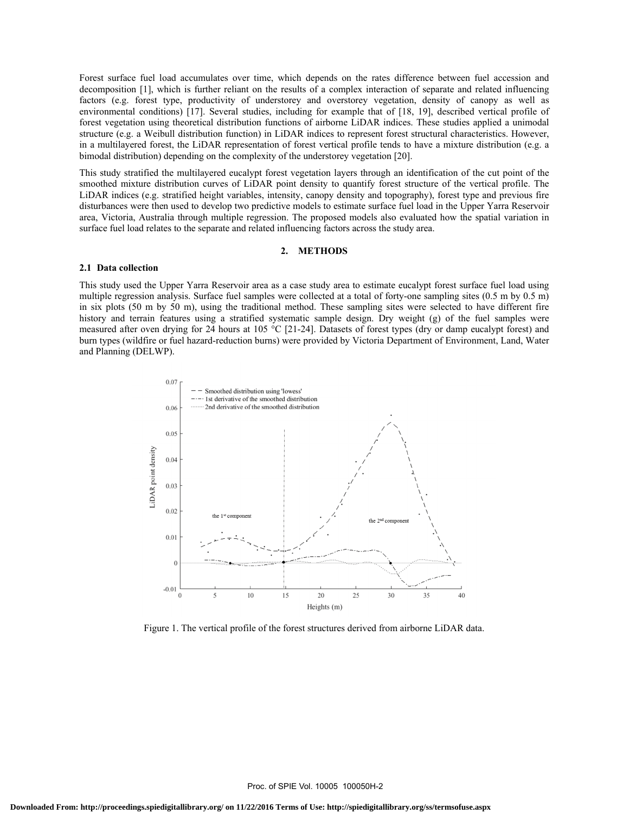Forest surface fuel load accumulates over time, which depends on the rates difference between fuel accession and decomposition [1], which is further reliant on the results of a complex interaction of separate and related influencing factors (e.g. forest type, productivity of understorey and overstorey vegetation, density of canopy as well as environmental conditions) [17]. Several studies, including for example that of [18, 19], described vertical profile of forest vegetation using theoretical distribution functions of airborne LiDAR indices. These studies applied a unimodal structure (e.g. a Weibull distribution function) in LiDAR indices to represent forest structural characteristics. However, in a multilayered forest, the LiDAR representation of forest vertical profile tends to have a mixture distribution (e.g. a bimodal distribution) depending on the complexity of the understorey vegetation [20].

This study stratified the multilayered eucalypt forest vegetation layers through an identification of the cut point of the smoothed mixture distribution curves of LiDAR point density to quantify forest structure of the vertical profile. The LiDAR indices (e.g. stratified height variables, intensity, canopy density and topography), forest type and previous fire disturbances were then used to develop two predictive models to estimate surface fuel load in the Upper Yarra Reservoir area, Victoria, Australia through multiple regression. The proposed models also evaluated how the spatial variation in surface fuel load relates to the separate and related influencing factors across the study area.

#### **2. METHODS**

#### **2.1 Data collection**

This study used the Upper Yarra Reservoir area as a case study area to estimate eucalypt forest surface fuel load using multiple regression analysis. Surface fuel samples were collected at a total of forty-one sampling sites (0.5 m by 0.5 m) in six plots (50 m by 50 m), using the traditional method. These sampling sites were selected to have different fire history and terrain features using a stratified systematic sample design. Dry weight (g) of the fuel samples were measured after oven drying for 24 hours at 105 °C [21-24]. Datasets of forest types (dry or damp eucalypt forest) and burn types (wildfire or fuel hazard-reduction burns) were provided by Victoria Department of Environment, Land, Water and Planning (DELWP).



Figure 1. The vertical profile of the forest structures derived from airborne LiDAR data.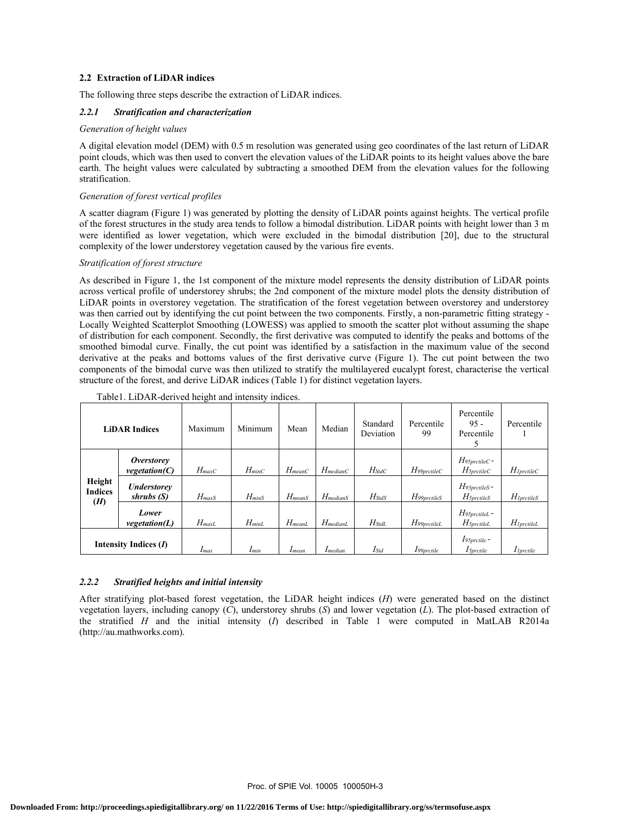## **2.2 Extraction of LiDAR indices**

The following three steps describe the extraction of LiDAR indices.

## *2.2.1 Stratification and characterization*

### *Generation of height values*

A digital elevation model (DEM) with 0.5 m resolution was generated using geo coordinates of the last return of LiDAR point clouds, which was then used to convert the elevation values of the LiDAR points to its height values above the bare earth. The height values were calculated by subtracting a smoothed DEM from the elevation values for the following stratification.

## *Generation of forest vertical profiles*

A scatter diagram (Figure 1) was generated by plotting the density of LiDAR points against heights. The vertical profile of the forest structures in the study area tends to follow a bimodal distribution. LiDAR points with height lower than 3 m were identified as lower vegetation, which were excluded in the bimodal distribution [20], due to the structural complexity of the lower understorey vegetation caused by the various fire events.

#### *Stratification of forest structure*

As described in Figure 1, the 1st component of the mixture model represents the density distribution of LiDAR points across vertical profile of understorey shrubs; the 2nd component of the mixture model plots the density distribution of LiDAR points in overstorey vegetation. The stratification of the forest vegetation between overstorey and understorey was then carried out by identifying the cut point between the two components. Firstly, a non-parametric fitting strategy - Locally Weighted Scatterplot Smoothing (LOWESS) was applied to smooth the scatter plot without assuming the shape of distribution for each component. Secondly, the first derivative was computed to identify the peaks and bottoms of the smoothed bimodal curve. Finally, the cut point was identified by a satisfaction in the maximum value of the second derivative at the peaks and bottoms values of the first derivative curve (Figure 1). The cut point between the two components of the bimodal curve was then utilized to stratify the multilayered eucalypt forest, characterise the vertical structure of the forest, and derive LiDAR indices (Table 1) for distinct vegetation layers.

| <b>LiDAR Indices</b>     |                                    | Maximum            | Minimum    | Mean                    | Median                | Standard<br>Deviation | Percentile<br>99  | Percentile<br>$95 -$<br>Percentile            | Percentile               |
|--------------------------|------------------------------------|--------------------|------------|-------------------------|-----------------------|-----------------------|-------------------|-----------------------------------------------|--------------------------|
|                          | <i>Overstorey</i><br>vegetation(C) | $H_{\text{max}}$ C | $H_{minC}$ | $H_{meanC}$             | $H_{medianC}$         | $H_{StdC}$            | $H$ 99prctile $C$ | $H$ 95 $prctileC$ -<br>$H_{\text{5}prctileC}$ | $H_{IprctileC}$          |
| Height<br><b>Indices</b> | Understorey<br>shrubs (S)          | $H_{maxS}$         | $H_{minS}$ | $H$ <sub>mean</sub> $S$ | $H_{\text{median}}$ S | $H_{StdS}$            | $H$ 99 $prctiles$ | $H$ 95 $prctiles$ -<br>$H5$ <i>prctileS</i>   | $H_{IprctileS}$          |
| (H)                      | Lower<br>vegetation(L)             | $H_{maxL}$         | $H_{minL}$ | $H_{meanL}$             | $H_{medianL}$         | $H_{StdL}$            | H99prctileL       | $H$ 95prctileL -<br>$H_{\text{5}prctileL}$    | $H_{IprctileL}$          |
| Intensity Indices (I)    |                                    | Imax               | $I_{min}$  | $I$ mean                | $I$ median            | $I_{Std}$             | $I$ 99 $prctile$  | $I$ 95prctile -<br>$I5$ <i>prctile</i>        | $I$ <sub>l</sub> prctile |

#### Table1. LiDAR-derived height and intensity indices.

## *2.2.2 Stratified heights and initial intensity*

After stratifying plot-based forest vegetation, the LiDAR height indices (*H*) were generated based on the distinct vegetation layers, including canopy (*C*), understorey shrubs (*S*) and lower vegetation (*L*). The plot-based extraction of the stratified *H* and the initial intensity (*I*) described in Table 1 were computed in MatLAB R2014a (http://au.mathworks.com).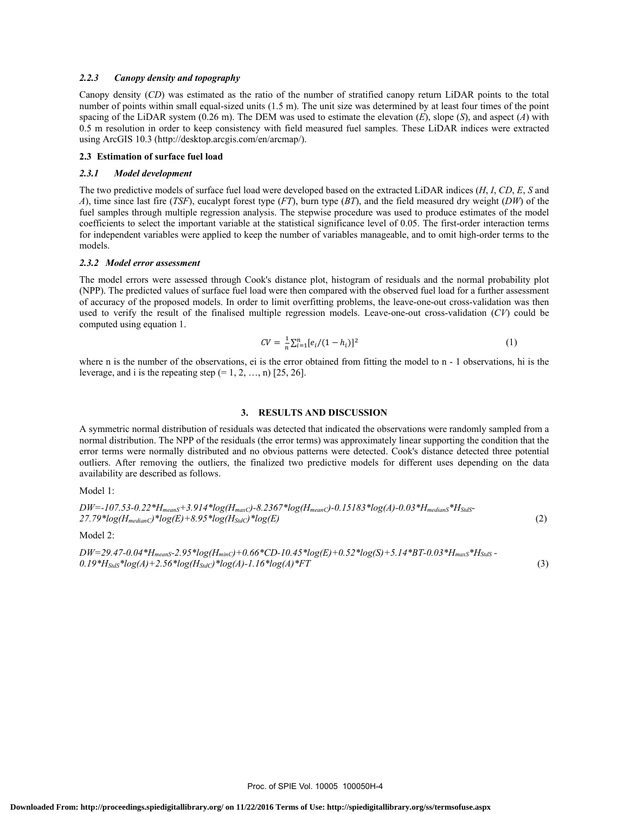#### *2.2.3 Canopy density and topography*

Canopy density (*CD*) was estimated as the ratio of the number of stratified canopy return LiDAR points to the total number of points within small equal-sized units (1.5 m). The unit size was determined by at least four times of the point spacing of the LiDAR system (0.26 m). The DEM was used to estimate the elevation (*E*), slope (*S*), and aspect (*A*) with 0.5 m resolution in order to keep consistency with field measured fuel samples. These LiDAR indices were extracted using ArcGIS 10.3 (http://desktop.arcgis.com/en/arcmap/).

#### **2.3 Estimation of surface fuel load**

#### *2.3.1 Model development*

The two predictive models of surface fuel load were developed based on the extracted LiDAR indices (*H*, *I*, *CD*, *E*, *S* and *A*), time since last fire (*TSF*), eucalypt forest type (*FT*), burn type (*BT*), and the field measured dry weight (*DW*) of the fuel samples through multiple regression analysis. The stepwise procedure was used to produce estimates of the model coefficients to select the important variable at the statistical significance level of 0.05. The first-order interaction terms for independent variables were applied to keep the number of variables manageable, and to omit high-order terms to the models.

#### *2.3.2 Model error assessment*

The model errors were assessed through Cook's distance plot, histogram of residuals and the normal probability plot (NPP). The predicted values of surface fuel load were then compared with the observed fuel load for a further assessment of accuracy of the proposed models. In order to limit overfitting problems, the leave-one-out cross-validation was then used to verify the result of the finalised multiple regression models. Leave-one-out cross-validation (*CV*) could be computed using equation 1.

$$
CV = \frac{1}{n} \sum_{i=1}^{n} [e_i/(1-h_i)]^2
$$
 (1)

where n is the number of the observations, ei is the error obtained from fitting the model to  $n - 1$  observations, hi is the leverage, and i is the repeating step  $(= 1, 2, ..., n)$  [25, 26].

#### **3. RESULTS AND DISCUSSION**

A symmetric normal distribution of residuals was detected that indicated the observations were randomly sampled from a normal distribution. The NPP of the residuals (the error terms) was approximately linear supporting the condition that the error terms were normally distributed and no obvious patterns were detected. Cook's distance detected three potential outliers. After removing the outliers, the finalized two predictive models for different uses depending on the data availability are described as follows.

Model 1:

*DW=-107.53-0.22\*HmeanS+3.914\*log(HmaxC)-8.2367\*log(HmeanC)-0.15183\*log(A)-0.03\*HmedianS\*HStdS-* $27.79*log(H_{medianC})*log(E) + 8.95*log(H_{SdC})*log(E)$  (2)

Model 2:

*DW=29.47-0.04\*HmeanS-2.95\*log(HminC)+0.66\*CD-10.45\*log(E)+0.52\*log(S)+5.14\*BT-0.03\*HmaxS\*HStdS -*  $0.19*H_{SdS}*log(A)+2.56*log(H_{SdC})*log(A)-1.16*log(A)*FT$  (3)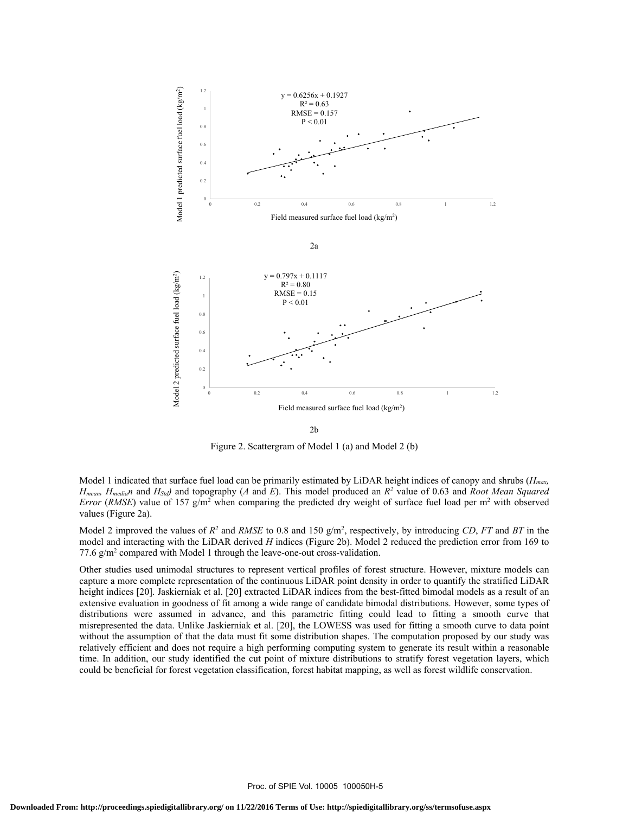

2b

Figure 2. Scattergram of Model 1 (a) and Model 2 (b)

Model 1 indicated that surface fuel load can be primarily estimated by LiDAR height indices of canopy and shrubs (*Hmax, Hmean, Hmedian* and *HStd)* and topography (*A* and *E*). This model produced an *R2* value of 0.63 and *Root Mean Squared Error* (*RMSE*) value of 157 g/m<sup>2</sup> when comparing the predicted dry weight of surface fuel load per  $m^2$  with observed values (Figure 2a).

Model 2 improved the values of  $R^2$  and *RMSE* to 0.8 and 150 g/m<sup>2</sup>, respectively, by introducing *CD*, *FT* and *BT* in the model and interacting with the LiDAR derived *H* indices (Figure 2b). Model 2 reduced the prediction error from 169 to 77.6 g/m<sup>2</sup> compared with Model 1 through the leave-one-out cross-validation.

Other studies used unimodal structures to represent vertical profiles of forest structure. However, mixture models can capture a more complete representation of the continuous LiDAR point density in order to quantify the stratified LiDAR height indices [20]. Jaskierniak et al. [20] extracted LiDAR indices from the best-fitted bimodal models as a result of an extensive evaluation in goodness of fit among a wide range of candidate bimodal distributions. However, some types of distributions were assumed in advance, and this parametric fitting could lead to fitting a smooth curve that misrepresented the data. Unlike Jaskierniak et al. [20], the LOWESS was used for fitting a smooth curve to data point without the assumption of that the data must fit some distribution shapes. The computation proposed by our study was relatively efficient and does not require a high performing computing system to generate its result within a reasonable time. In addition, our study identified the cut point of mixture distributions to stratify forest vegetation layers, which could be beneficial for forest vegetation classification, forest habitat mapping, as well as forest wildlife conservation.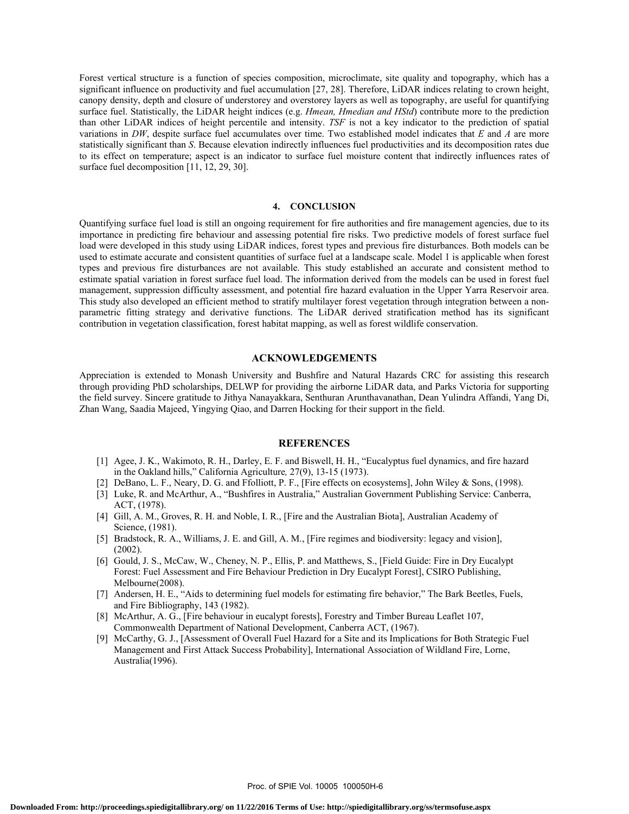Forest vertical structure is a function of species composition, microclimate, site quality and topography, which has a significant influence on productivity and fuel accumulation [27, 28]. Therefore, LiDAR indices relating to crown height, canopy density, depth and closure of understorey and overstorey layers as well as topography, are useful for quantifying surface fuel. Statistically, the LiDAR height indices (e.g. *Hmean, Hmedian and HStd*) contribute more to the prediction than other LiDAR indices of height percentile and intensity. *TSF* is not a key indicator to the prediction of spatial variations in *DW*, despite surface fuel accumulates over time. Two established model indicates that *E* and *A* are more statistically significant than *S*. Because elevation indirectly influences fuel productivities and its decomposition rates due to its effect on temperature; aspect is an indicator to surface fuel moisture content that indirectly influences rates of surface fuel decomposition [11, 12, 29, 30].

#### **4. CONCLUSION**

Quantifying surface fuel load is still an ongoing requirement for fire authorities and fire management agencies, due to its importance in predicting fire behaviour and assessing potential fire risks. Two predictive models of forest surface fuel load were developed in this study using LiDAR indices, forest types and previous fire disturbances. Both models can be used to estimate accurate and consistent quantities of surface fuel at a landscape scale. Model 1 is applicable when forest types and previous fire disturbances are not available. This study established an accurate and consistent method to estimate spatial variation in forest surface fuel load. The information derived from the models can be used in forest fuel management, suppression difficulty assessment, and potential fire hazard evaluation in the Upper Yarra Reservoir area. This study also developed an efficient method to stratify multilayer forest vegetation through integration between a nonparametric fitting strategy and derivative functions. The LiDAR derived stratification method has its significant contribution in vegetation classification, forest habitat mapping, as well as forest wildlife conservation.

# **ACKNOWLEDGEMENTS**

Appreciation is extended to Monash University and Bushfire and Natural Hazards CRC for assisting this research through providing PhD scholarships, DELWP for providing the airborne LiDAR data, and Parks Victoria for supporting the field survey. Sincere gratitude to Jithya Nanayakkara, Senthuran Arunthavanathan, Dean Yulindra Affandi, Yang Di, Zhan Wang, Saadia Majeed, Yingying Qiao, and Darren Hocking for their support in the field.

## **REFERENCES**

- [1] Agee, J. K., Wakimoto, R. H., Darley, E. F. and Biswell, H. H., "Eucalyptus fuel dynamics, and fire hazard in the Oakland hills," California Agriculture*,* 27(9), 13-15 (1973).
- [2] DeBano, L. F., Neary, D. G. and Ffolliott, P. F., [Fire effects on ecosystems], John Wiley & Sons, (1998).
- [3] Luke, R. and McArthur, A., "Bushfires in Australia," Australian Government Publishing Service: Canberra, ACT, (1978).
- [4] Gill, A. M., Groves, R. H. and Noble, I. R., [Fire and the Australian Biota], Australian Academy of Science, (1981).
- [5] Bradstock, R. A., Williams, J. E. and Gill, A. M., [Fire regimes and biodiversity: legacy and vision], (2002).
- [6] Gould, J. S., McCaw, W., Cheney, N. P., Ellis, P. and Matthews, S., [Field Guide: Fire in Dry Eucalypt Forest: Fuel Assessment and Fire Behaviour Prediction in Dry Eucalypt Forest], CSIRO Publishing, Melbourne(2008).
- [7] Andersen, H. E., "Aids to determining fuel models for estimating fire behavior," The Bark Beetles, Fuels, and Fire Bibliography, 143 (1982).
- [8] McArthur, A. G., [Fire behaviour in eucalypt forests], Forestry and Timber Bureau Leaflet 107, Commonwealth Department of National Development, Canberra ACT, (1967).
- [9] McCarthy, G. J., [Assessment of Overall Fuel Hazard for a Site and its Implications for Both Strategic Fuel Management and First Attack Success Probability], International Association of Wildland Fire, Lorne, Australia(1996).